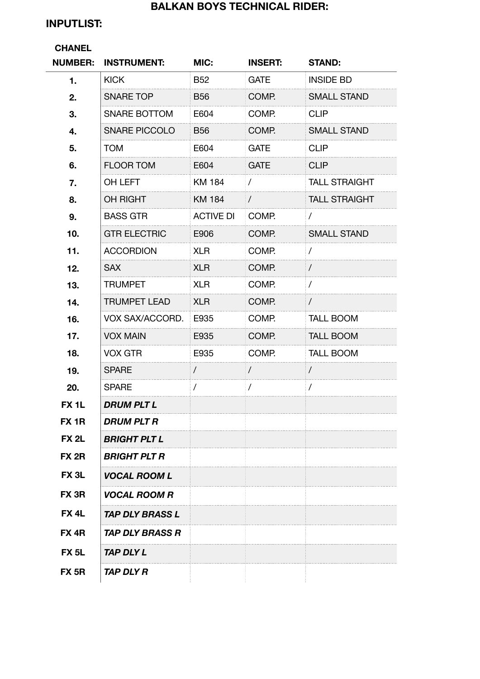## **BALKAN BOYS TECHNICAL RIDER:**

# **INPUTLIST:**

## **CHANEL**

| <b>NUMBER:</b>    | <b>INSTRUMENT:</b>            | MIC:             | <b>INSERT:</b> | <b>STAND:</b>        |
|-------------------|-------------------------------|------------------|----------------|----------------------|
| 1.                | <b>KICK</b>                   | <b>B52</b>       | <b>GATE</b>    | <b>INSIDE BD</b>     |
| 2.                | <b>SNARE TOP</b>              | <b>B56</b>       | COMP.          | <b>SMALL STAND</b>   |
| 3.                | SNARE BOTTOM                  | E604             | COMP.          | <b>CLIP</b>          |
| 4.                | <b>SNARE PICCOLO</b>          | <b>B56</b>       | COMP.          | <b>SMALL STAND</b>   |
| 5.                | <b>TOM</b>                    | E604             | <b>GATE</b>    | <b>CLIP</b>          |
| 6.                | <b>FLOOR TOM</b>              | E604             | <b>GATE</b>    | <b>CLIP</b>          |
| 7.                | OH LEFT                       | <b>KM 184</b>    | $\sqrt{2}$     | <b>TALL STRAIGHT</b> |
| 8.                | OH RIGHT                      | <b>KM 184</b>    | $\sqrt{2}$     | <b>TALL STRAIGHT</b> |
| 9.                | <b>BASS GTR</b>               | <b>ACTIVE DI</b> | COMP.          | $\prime$             |
| 10.               | <b>GTR ELECTRIC</b>           | E906             | COMP.          | <b>SMALL STAND</b>   |
| 11.               | <b>ACCORDION</b>              | <b>XLR</b>       | COMP.          | $\sqrt{2}$           |
| 12.               | <b>SAX</b>                    | <b>XLR</b>       | COMP.          | $\sqrt{2}$           |
| 13.               | <b>TRUMPET</b>                | <b>XLR</b>       | COMP.          | $\prime$             |
| 14.               | <b>TRUMPET LEAD</b>           | <b>XLR</b>       | COMP.          | $\sqrt{2}$           |
| 16.               | VOX SAX/ACCORD.               | E935             | COMP.          | <b>TALL BOOM</b>     |
| 17.               | <b>VOX MAIN</b>               | E935             | COMP.          | <b>TALL BOOM</b>     |
| 18.               | <b>VOX GTR</b>                | E935             | COMP.          | <b>TALL BOOM</b>     |
| 19.               | <b>SPARE</b>                  | $\sqrt{2}$       | $\overline{1}$ | $\prime$             |
| 20.               | <b>SPARE</b>                  | $\prime$         | $\prime$       | $\prime$             |
| FX <sub>1</sub> L | <b>DRUM PLT L</b>             |                  |                |                      |
| FX <sub>1R</sub>  | <b>DRUM PLT R</b>             |                  |                |                      |
| <b>FX 2L</b>      | <b>BRIGHT PLT L</b>           |                  |                |                      |
| FX <sub>2R</sub>  | <b>BRIGHT PLT R</b>           |                  |                |                      |
| FX <sub>3L</sub>  | <b>VOCAL ROOM L</b>           |                  |                |                      |
| FX <sub>3R</sub>  | <b>VOCAL ROOM R</b>           |                  |                |                      |
| FX <sub>4</sub> L | <b>TAP DLY BRASS L</b>        |                  |                |                      |
| FX 4R             | <i><b>TAP DLY BRASS R</b></i> |                  |                |                      |
| FX <sub>5</sub> L | TAP DLY L                     |                  |                |                      |
| <b>FX 5R</b>      | TAP DLY R                     |                  |                |                      |
|                   |                               |                  |                |                      |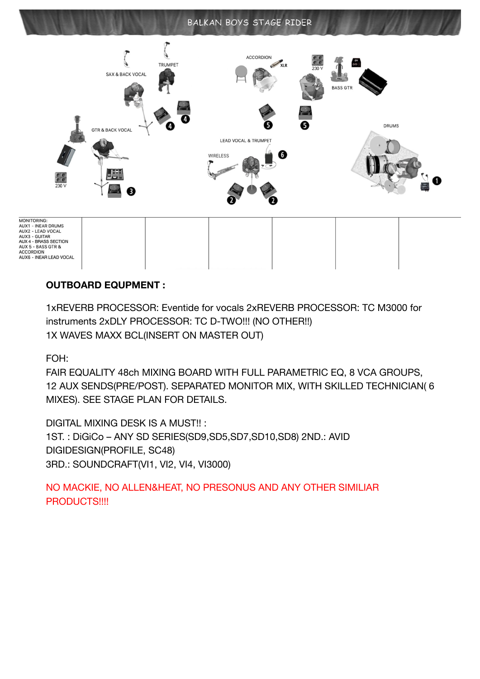### BALKAN BOYS STAGE RIDER



MONITORING:<br>AUX1 - INEAR DRUMS<br>AUX2 - LEAD VOCAL<br>AUX3 - GUITAR<br>AUX 4 - BRASS SECTION<br>AUX 5 - BASS GTR & **ACCORDION** AUX6 - INEAR LEAD VOCAL

### **OUTBOARD EQUPMENT :**

1xREVERB PROCESSOR: Eventide for vocals 2xREVERB PROCESSOR: TC M3000 for instruments 2xDLY PROCESSOR: TC D-TWO!!! (NO OTHER!!) 1X WAVES MAXX BCL(INSERT ON MASTER OUT)

FOH:

FAIR EQUALITY 48ch MIXING BOARD WITH FULL PARAMETRIC EQ, 8 VCA GROUPS, 12 AUX SENDS(PRE/POST). SEPARATED MONITOR MIX, WITH SKILLED TECHNICIAN( 6 MIXES). SEE STAGE PLAN FOR DETAILS.

DIGITAL MIXING DESK IS A MUST!! : 1ST. : DiGiCo – ANY SD SERIES(SD9,SD5,SD7,SD10,SD8) 2ND.: AVID DIGIDESIGN(PROFILE, SC48) 3RD.: SOUNDCRAFT(VI1, VI2, VI4, VI3000)

NO MACKIE, NO ALLEN&HEAT, NO PRESONUS AND ANY OTHER SIMILIAR PRODUCTS!!!!